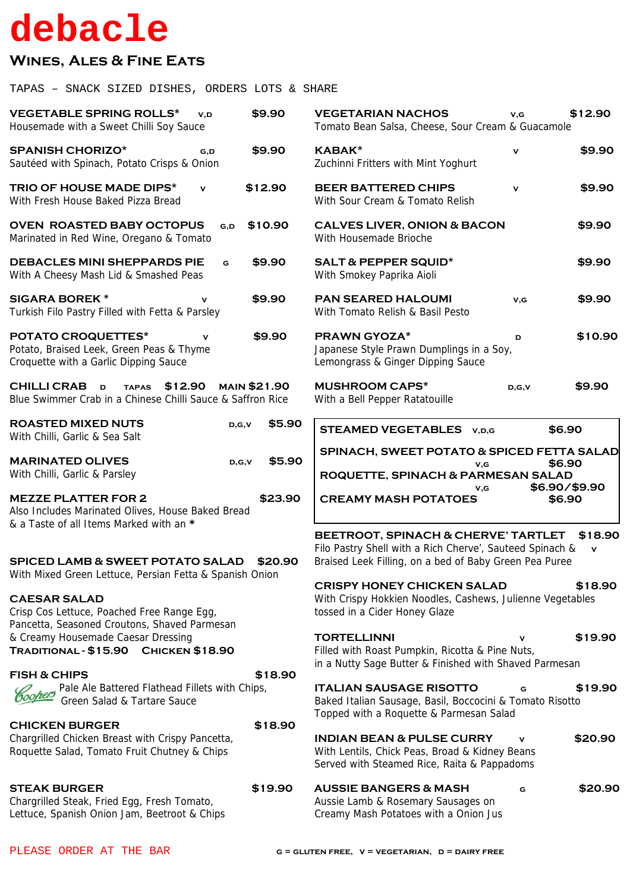## debacle

## **WINES, ALES & FINE EATS**

TAPAS - SNACK SIZED DISHES, ORDERS LOTS & SHARE

| <b>VEGETABLE SPRING ROLLS*</b><br>\$9.90<br>V.D<br>Housemade with a Sweet Chilli Soy Sauce                                                                                |         | <b>VEGETARIAN NACHOS</b><br>Tomato Bean Salsa, Cheese, Sour Cream & Guacamole                                                                                                                                                                                                          | V,G                     | \$12.90 |  |
|---------------------------------------------------------------------------------------------------------------------------------------------------------------------------|---------|----------------------------------------------------------------------------------------------------------------------------------------------------------------------------------------------------------------------------------------------------------------------------------------|-------------------------|---------|--|
| <b>SPANISH CHORIZO*</b><br>\$9.90<br>G,D<br>Sautéed with Spinach, Potato Crisps & Onion                                                                                   |         | <b>KABAK*</b><br>Zuchinni Fritters with Mint Yoghurt                                                                                                                                                                                                                                   | V                       | \$9.90  |  |
| <b>TRIO OF HOUSE MADE DIPS*</b><br>\$12.90<br>$\mathbf{v}$<br>With Fresh House Baked Pizza Bread                                                                          |         | <b>BEER BATTERED CHIPS</b><br>With Sour Cream & Tomato Relish                                                                                                                                                                                                                          | $\mathbf{v}$            | \$9.90  |  |
| <b>OVEN ROASTED BABY OCTOPUS</b><br>\$10.90<br>G,D<br>Marinated in Red Wine, Oregano & Tomato                                                                             |         | <b>CALVES LIVER, ONION &amp; BACON</b><br>With Housemade Brioche                                                                                                                                                                                                                       |                         | \$9.90  |  |
| <b>DEBACLES MINI SHEPPARDS PIE</b><br>\$9.90<br>G<br>With A Cheesy Mash Lid & Smashed Peas                                                                                |         | <b>SALT &amp; PEPPER SQUID*</b><br>With Smokey Paprika Aioli                                                                                                                                                                                                                           |                         | \$9.90  |  |
| <b>SIGARA BOREK *</b><br>\$9.90<br>Turkish Filo Pastry Filled with Fetta & Parsley                                                                                        |         | <b>PAN SEARED HALOUMI</b><br>With Tomato Relish & Basil Pesto                                                                                                                                                                                                                          | V,G                     | \$9.90  |  |
| <b>POTATO CROQUETTES*</b><br>\$9.90<br>v<br>Potato, Braised Leek, Green Peas & Thyme<br>Croquette with a Garlic Dipping Sauce                                             |         | <b>PRAWN GYOZA*</b><br>Japanese Style Prawn Dumplings in a Soy,<br>Lemongrass & Ginger Dipping Sauce                                                                                                                                                                                   | D                       | \$10.90 |  |
| CHILLI CRAB D<br>\$12.90<br><b>MAIN \$21.90</b><br><b>TAPAS</b><br>Blue Swimmer Crab in a Chinese Chilli Sauce & Saffron Rice                                             |         | <b>MUSHROOM CAPS*</b><br>With a Bell Pepper Ratatouille                                                                                                                                                                                                                                | D, G, V                 | \$9.90  |  |
| <b>ROASTED MIXED NUTS</b><br>D, G, V<br>With Chilli, Garlic & Sea Salt                                                                                                    | \$5.90  | <b>STEAMED VEGETABLES</b> v, D, G                                                                                                                                                                                                                                                      | \$6.90                  |         |  |
| <b>MARINATED OLIVES</b><br>D, G, V<br>With Chilli, Garlic & Parsley                                                                                                       | \$5.90  | SPINACH, SWEET POTATO & SPICED FETTA SALAD<br>V,G<br>ROQUETTE, SPINACH & PARMESAN SALAD                                                                                                                                                                                                | \$6.90<br>\$6.90/\$9.90 |         |  |
| \$23.90<br><b>MEZZE PLATTER FOR 2</b><br>Also Includes Marinated Olives, House Baked Bread<br>& a Taste of all Items Marked with an *                                     |         | V,G<br><b>CREAMY MASH POTATOES</b>                                                                                                                                                                                                                                                     | \$6.90                  |         |  |
| <b>SPICED LAMB &amp; SWEET POTATO SALAD</b><br>\$20.90<br>With Mixed Green Lettuce, Persian Fetta & Spanish Onion<br><b>CAESAR SALAD</b>                                  |         | BEETROOT, SPINACH & CHERVE' TARTLET<br>\$18.90<br>Filo Pastry Shell with a Rich Cherve', Sauteed Spinach &<br>V<br>Braised Leek Filling, on a bed of Baby Green Pea Puree<br><b>CRISPY HONEY CHICKEN SALAD</b><br>\$18.90<br>With Crispy Hokkien Noodles, Cashews, Julienne Vegetables |                         |         |  |
| Crisp Cos Lettuce, Poached Free Range Egg,<br>Pancetta, Seasoned Croutons, Shaved Parmesan<br>& Creamy Housemade Caesar Dressing<br>TRADITIONAL - \$15.90 CHICKEN \$18.90 |         | tossed in a Cider Honey Glaze<br><b>TORTELLINNI</b><br>Filled with Roast Pumpkin, Ricotta & Pine Nuts,                                                                                                                                                                                 |                         | \$19.90 |  |
| <b>FISH &amp; CHIPS</b><br>Coopers Pale Ale Battered Flathead Fillets with Chips,<br>Green Salad & Tartare Sauce                                                          | \$18.90 | in a Nutty Sage Butter & Finished with Shaved Parmesan<br><b>ITALIAN SAUSAGE RISOTTO</b><br>Baked Italian Sausage, Basil, Boccocini & Tomato Risotto<br>Topped with a Roquette & Parmesan Salad                                                                                        | G                       | \$19.90 |  |
| <b>CHICKEN BURGER</b><br>Chargrilled Chicken Breast with Crispy Pancetta,<br>Roquette Salad, Tomato Fruit Chutney & Chips                                                 | \$18.90 | <b>INDIAN BEAN &amp; PULSE CURRY</b><br>With Lentils, Chick Peas, Broad & Kidney Beans<br>Served with Steamed Rice, Raita & Pappadoms                                                                                                                                                  | v                       | \$20.90 |  |
| <b>STEAK BURGER</b><br>\$19.90<br>Chargrilled Steak, Fried Egg, Fresh Tomato,<br>Lettuce, Spanish Onion Jam, Beetroot & Chips                                             |         | <b>AUSSIE BANGERS &amp; MASH</b><br>Aussie Lamb & Rosemary Sausages on<br>Creamy Mash Potatoes with a Onion Jus                                                                                                                                                                        | G                       | \$20.90 |  |